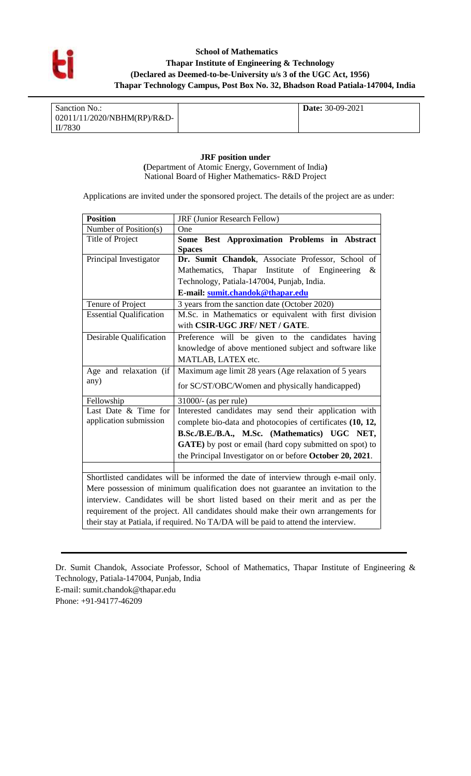

## **School of Mathematics Thapar Institute of Engineering & Technology (Declared as Deemed-to-be-University u/s 3 of the UGC Act, 1956) Thapar Technology Campus, Post Box No. 32, Bhadson Road Patiala-147004, India**

| Sanction No.:               | <b>Date:</b> 30-09-2021 |
|-----------------------------|-------------------------|
| 02011/11/2020/NBHM(RP)/R&D- |                         |
| II/7830                     |                         |

**JRF position under (**Department of Atomic Energy, Government of India**)**  National Board of Higher Mathematics- R&D Project

Applications are invited under the sponsored project. The details of the project are as under:

| <b>Position</b>                                                                    | JRF (Junior Research Fellow)                                                                                                      |  |  |  |  |
|------------------------------------------------------------------------------------|-----------------------------------------------------------------------------------------------------------------------------------|--|--|--|--|
| Number of Position(s)                                                              | One                                                                                                                               |  |  |  |  |
| Title of Project                                                                   | Some Best Approximation Problems in Abstract                                                                                      |  |  |  |  |
|                                                                                    | <b>Spaces</b>                                                                                                                     |  |  |  |  |
| Principal Investigator                                                             | Dr. Sumit Chandok, Associate Professor, School of                                                                                 |  |  |  |  |
|                                                                                    | Mathematics, Thapar Institute of Engineering<br>$\&$                                                                              |  |  |  |  |
|                                                                                    | Technology, Patiala-147004, Punjab, India.<br>E-mail: sumit.chandok@thapar.edu                                                    |  |  |  |  |
|                                                                                    |                                                                                                                                   |  |  |  |  |
| Tenure of Project                                                                  | 3 years from the sanction date (October 2020)                                                                                     |  |  |  |  |
| <b>Essential Qualification</b>                                                     | M.Sc. in Mathematics or equivalent with first division                                                                            |  |  |  |  |
|                                                                                    | with CSIR-UGC JRF/NET / GATE.                                                                                                     |  |  |  |  |
| Desirable Qualification                                                            | Preference will be given to the candidates having<br>knowledge of above mentioned subject and software like<br>MATLAB, LATEX etc. |  |  |  |  |
|                                                                                    |                                                                                                                                   |  |  |  |  |
|                                                                                    |                                                                                                                                   |  |  |  |  |
| Age and relaxation (if                                                             | Maximum age limit 28 years (Age relaxation of 5 years                                                                             |  |  |  |  |
| any)                                                                               | for SC/ST/OBC/Women and physically handicapped)                                                                                   |  |  |  |  |
| Fellowship                                                                         | $31000/-(as per rule)$                                                                                                            |  |  |  |  |
| Last Date & Time for                                                               | Interested candidates may send their application with                                                                             |  |  |  |  |
| application submission                                                             | complete bio-data and photocopies of certificates (10, 12,                                                                        |  |  |  |  |
|                                                                                    | B.Sc./B.E./B.A., M.Sc. (Mathematics) UGC NET,                                                                                     |  |  |  |  |
|                                                                                    | <b>GATE</b> ) by post or email (hard copy submitted on spot) to                                                                   |  |  |  |  |
|                                                                                    | the Principal Investigator on or before October 20, 2021.                                                                         |  |  |  |  |
|                                                                                    |                                                                                                                                   |  |  |  |  |
| Shortlisted candidates will be informed the date of interview through e-mail only. |                                                                                                                                   |  |  |  |  |
| Mere possession of minimum qualification does not guarantee an invitation to the   |                                                                                                                                   |  |  |  |  |
| interview. Candidates will be short listed based on their merit and as per the     |                                                                                                                                   |  |  |  |  |
| requirement of the project. All candidates should make their own arrangements for  |                                                                                                                                   |  |  |  |  |
|                                                                                    | their stay at Patiala, if required. No TA/DA will be paid to attend the interview.                                                |  |  |  |  |

Dr. Sumit Chandok, Associate Professor, School of Mathematics, Thapar Institute of Engineering & Technology, Patiala-147004, Punjab, India

E-mail: sumit.chandok@thapar.edu Phone: +91-94177-46209